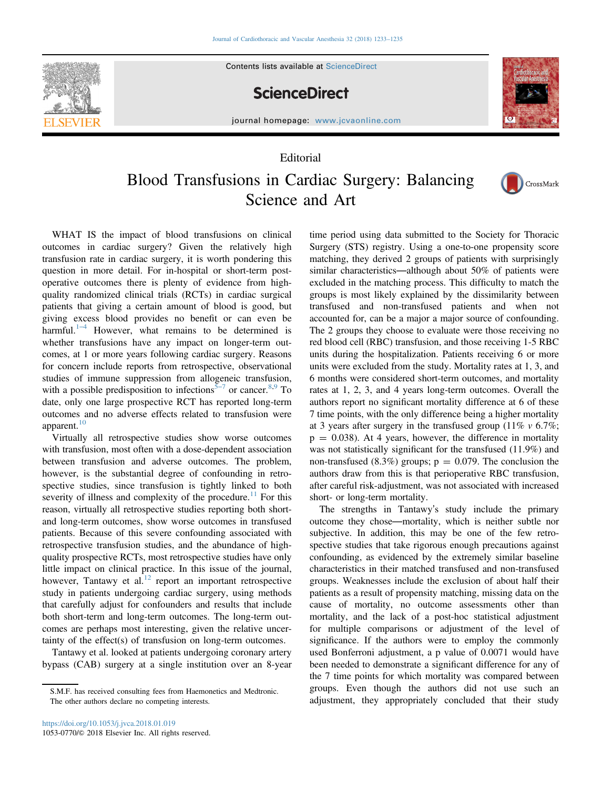

Contents lists available at ScienceDirect

## **ScienceDirect**



journal homepage: <www.jcvaonline.com>

## Editorial

## Blood Transfusions in Cardiac Surgery: Balancing Science and Art



WHAT IS the impact of blood transfusions on clinical outcomes in cardiac surgery? Given the relatively high transfusion rate in cardiac surgery, it is worth pondering this question in more detail. For in-hospital or short-term postoperative outcomes there is plenty of evidence from highquality randomized clinical trials (RCTs) in cardiac surgical patients that giving a certain amount of blood is good, but giving excess blood provides no benefit or can even be harmful.<sup>[1](#page-1-0)–4</sup> However, what remains to be determined is whether transfusions have any impact on longer-term outcomes, at 1 or more years following cardiac surgery. Reasons for concern include reports from retrospective, observational studies of immune suppression from allogeneic transfusion, with a possible predisposition to infections<sup>5[–](#page-2-0)7</sup> or cancer.<sup>[8,9](#page-2-0)</sup> To date, only one large prospective RCT has reported long-term outcomes and no adverse effects related to transfusion were apparent.<sup>[10](#page-2-0)</sup>

Virtually all retrospective studies show worse outcomes with transfusion, most often with a dose-dependent association between transfusion and adverse outcomes. The problem, however, is the substantial degree of confounding in retrospective studies, since transfusion is tightly linked to both severity of illness and complexity of the procedure.<sup>11</sup> For this reason, virtually all retrospective studies reporting both shortand long-term outcomes, show worse outcomes in transfused patients. Because of this severe confounding associated with retrospective transfusion studies, and the abundance of highquality prospective RCTs, most retrospective studies have only little impact on clinical practice. In this issue of the journal, however, Tantawy et al. $12$  report an important retrospective study in patients undergoing cardiac surgery, using methods that carefully adjust for confounders and results that include both short-term and long-term outcomes. The long-term outcomes are perhaps most interesting, given the relative uncertainty of the effect(s) of transfusion on long-term outcomes.

Tantawy et al. looked at patients undergoing coronary artery bypass (CAB) surgery at a single institution over an 8-year time period using data submitted to the Society for Thoracic Surgery (STS) registry. Using a one-to-one propensity score matching, they derived 2 groups of patients with surprisingly similar characteristics—although about 50% of patients were excluded in the matching process. This difficulty to match the groups is most likely explained by the dissimilarity between transfused and non-transfused patients and when not accounted for, can be a major a major source of confounding. The 2 groups they choose to evaluate were those receiving no red blood cell (RBC) transfusion, and those receiving 1-5 RBC units during the hospitalization. Patients receiving 6 or more units were excluded from the study. Mortality rates at 1, 3, and 6 months were considered short-term outcomes, and mortality rates at 1, 2, 3, and 4 years long-term outcomes. Overall the authors report no significant mortality difference at 6 of these 7 time points, with the only difference being a higher mortality at 3 years after surgery in the transfused group  $(11\% \text{ v } 6.7\%);$  $p = 0.038$ ). At 4 years, however, the difference in mortality was not statistically significant for the transfused (11.9%) and non-transfused (8.3%) groups;  $p = 0.079$ . The conclusion the authors draw from this is that perioperative RBC transfusion, after careful risk-adjustment, was not associated with increased short- or long-term mortality.

The strengths in Tantawy's study include the primary outcome they chose—mortality, which is neither subtle nor subjective. In addition, this may be one of the few retrospective studies that take rigorous enough precautions against confounding, as evidenced by the extremely similar baseline characteristics in their matched transfused and non-transfused groups. Weaknesses include the exclusion of about half their patients as a result of propensity matching, missing data on the cause of mortality, no outcome assessments other than mortality, and the lack of a post-hoc statistical adjustment for multiple comparisons or adjustment of the level of significance. If the authors were to employ the commonly used Bonferroni adjustment, a p value of 0.0071 would have been needed to demonstrate a significant difference for any of the 7 time points for which mortality was compared between groups. Even though the authors did not use such an adjustment, they appropriately concluded that their study

S.M.F. has received consulting fees from Haemonetics and Medtronic. The other authors declare no competing interests.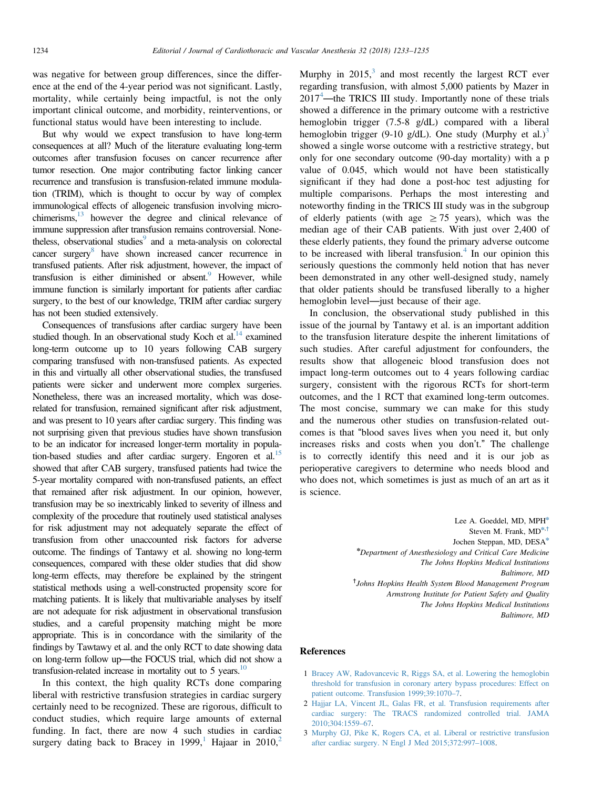<span id="page-1-0"></span>was negative for between group differences, since the difference at the end of the 4-year period was not significant. Lastly, mortality, while certainly being impactful, is not the only important clinical outcome, and morbidity, reinterventions, or functional status would have been interesting to include.

But why would we expect transfusion to have long-term consequences at all? Much of the literature evaluating long-term outcomes after transfusion focuses on cancer recurrence after tumor resection. One major contributing factor linking cancer recurrence and transfusion is transfusion-related immune modulation (TRIM), which is thought to occur by way of complex immunological effects of allogeneic transfusion involving microchimerisms[,13](#page-2-0) however the degree and clinical relevance of immune suppression after transfusion remains controversial. Nonetheless, observational studies<sup>9</sup> and a meta-analysis on colorectal cancer surgery<sup>8</sup> have shown increased cancer recurrence in transfused patients. After risk adjustment, however, the impact of transfusion is either diminished or absent.<sup>9</sup> However, while immune function is similarly important for patients after cardiac surgery, to the best of our knowledge, TRIM after cardiac surgery has not been studied extensively.

Consequences of transfusions after cardiac surgery have been studied though. In an observational study Koch et al.<sup>14</sup> examined long-term outcome up to 10 years following CAB surgery comparing transfused with non-transfused patients. As expected in this and virtually all other observational studies, the transfused patients were sicker and underwent more complex surgeries. Nonetheless, there was an increased mortality, which was doserelated for transfusion, remained significant after risk adjustment, and was present to 10 years after cardiac surgery. This finding was not surprising given that previous studies have shown transfusion to be an indicator for increased longer-term mortality in population-based studies and after cardiac surgery. Engoren et al. $^{15}$  $^{15}$  $^{15}$ showed that after CAB surgery, transfused patients had twice the 5-year mortality compared with non-transfused patients, an effect that remained after risk adjustment. In our opinion, however, transfusion may be so inextricably linked to severity of illness and complexity of the procedure that routinely used statistical analyses for risk adjustment may not adequately separate the effect of transfusion from other unaccounted risk factors for adverse outcome. The findings of Tantawy et al. showing no long-term consequences, compared with these older studies that did show long-term effects, may therefore be explained by the stringent statistical methods using a well-constructed propensity score for matching patients. It is likely that multivariable analyses by itself are not adequate for risk adjustment in observational transfusion studies, and a careful propensity matching might be more appropriate. This is in concordance with the similarity of the findings by Tawtawy et al. and the only RCT to date showing data on long-term follow up—the FOCUS trial, which did not show a transfusion-related increase in mortality out to 5 years. $10$ 

In this context, the high quality RCTs done comparing liberal with restrictive transfusion strategies in cardiac surgery certainly need to be recognized. These are rigorous, difficult to conduct studies, which require large amounts of external funding. In fact, there are now 4 such studies in cardiac surgery dating back to Bracey in 1999,<sup>1</sup> Hajaar in 2010,<sup>2</sup>

Murphy in  $2015$ ,<sup>3</sup> and most recently the largest RCT ever regarding transfusion, with almost 5,000 patients by Mazer in  $2017<sup>4</sup>$  $2017<sup>4</sup>$  $2017<sup>4</sup>$  —the TRICS III study. Importantly none of these trials showed a difference in the primary outcome with a restrictive hemoglobin trigger (7.5-8 g/dL) compared with a liberal hemoglobin trigger (9-10 g/dL). One study (Murphy et al.)<sup>3</sup> showed a single worse outcome with a restrictive strategy, but only for one secondary outcome (90-day mortality) with a p value of 0.045, which would not have been statistically significant if they had done a post-hoc test adjusting for multiple comparisons. Perhaps the most interesting and noteworthy finding in the TRICS III study was in the subgroup of elderly patients (with age  $\geq$  75 years), which was the median age of their CAB patients. With just over 2,400 of these elderly patients, they found the primary adverse outcome to be increased with liberal transfusion. $4$  In our opinion this seriously questions the commonly held notion that has never been demonstrated in any other well-designed study, namely that older patients should be transfused liberally to a higher hemoglobin level—just because of their age.

In conclusion, the observational study published in this issue of the journal by Tantawy et al. is an important addition to the transfusion literature despite the inherent limitations of such studies. After careful adjustment for confounders, the results show that allogeneic blood transfusion does not impact long-term outcomes out to 4 years following cardiac surgery, consistent with the rigorous RCTs for short-term outcomes, and the 1 RCT that examined long-term outcomes. The most concise, summary we can make for this study and the numerous other studies on transfusion-related outcomes is that "blood saves lives when you need it, but only increases risks and costs when you don't." The challenge is to correctly identify this need and it is our job as perioperative caregivers to determine who needs blood and who does not, which sometimes is just as much of an art as it is science.

> Lee A. Goeddel, MD, MPH\* Steven M. Frank,  $MD^{*,+}$ Jochen Steppan, MD, DESA\* n Department of Anesthesiology and Critical Care Medicine The Johns Hopkins Medical Institutions Baltimore, MD † Johns Hopkins Health System Blood Management Program Armstrong Institute for Patient Safety and Quality The Johns Hopkins Medical Institutions Baltimore, MD

## References

- 1 [Bracey AW, Radovancevic R, Riggs SA, et al. Lowering the hemoglobin](http://refhub.elsevier.com/S1053-0770(18)30022-3/sbref1) [threshold for transfusion in coronary artery bypass procedures: Effect on](http://refhub.elsevier.com/S1053-0770(18)30022-3/sbref1) [patient outcome. Transfusion 1999;39:1070](http://refhub.elsevier.com/S1053-0770(18)30022-3/sbref1)–7.
- 2 [Hajjar LA, Vincent JL, Galas FR, et al. Transfusion requirements after](http://refhub.elsevier.com/S1053-0770(18)30022-3/sbref2) [cardiac surgery: The TRACS randomized controlled trial. JAMA](http://refhub.elsevier.com/S1053-0770(18)30022-3/sbref2) [2010;304:1559](http://refhub.elsevier.com/S1053-0770(18)30022-3/sbref2)–67.
- 3 [Murphy GJ, Pike K, Rogers CA, et al. Liberal or restrictive transfusion](http://refhub.elsevier.com/S1053-0770(18)30022-3/sbref3) [after cardiac surgery. N Engl J Med 2015;372:997](http://refhub.elsevier.com/S1053-0770(18)30022-3/sbref3)–1008.